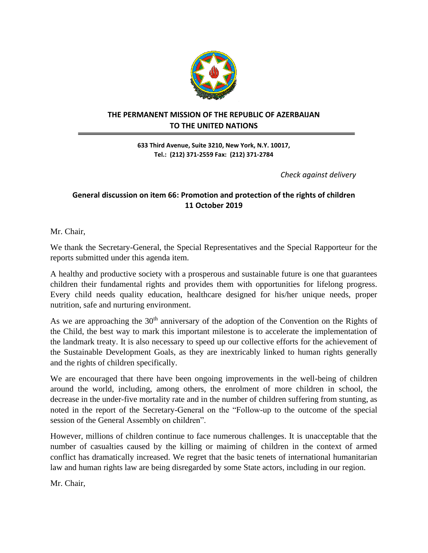

## **THE PERMANENT MISSION OF THE REPUBLIC OF AZERBAIJAN TO THE UNITED NATIONS**

**633 Third Avenue, Suite 3210, New York, N.Y. 10017, Tel.: (212) 371-2559 Fax: (212) 371-2784**

 *Check against delivery*

## **General discussion on item 66: Promotion and protection of the rights of children 11 October 2019**

Mr. Chair,

We thank the Secretary-General, the Special Representatives and the Special Rapporteur for the reports submitted under this agenda item.

A healthy and productive society with a prosperous and sustainable future is one that guarantees children their fundamental rights and provides them with opportunities for lifelong progress. Every child needs quality education, healthcare designed for his/her unique needs, proper nutrition, safe and nurturing environment.

As we are approaching the  $30<sup>th</sup>$  anniversary of the adoption of the Convention on the Rights of the Child, the best way to mark this important milestone is to accelerate the implementation of the landmark treaty. It is also necessary to speed up our collective efforts for the achievement of the Sustainable Development Goals, as they are inextricably linked to human rights generally and the rights of children specifically.

We are encouraged that there have been ongoing improvements in the well-being of children around the world, including, among others, the enrolment of more children in school, the decrease in the under-five mortality rate and in the number of children suffering from stunting, as noted in the report of the Secretary-General on the "Follow-up to the outcome of the special session of the General Assembly on children".

However, millions of children continue to face numerous challenges. It is unacceptable that the number of casualties caused by the killing or maiming of children in the context of armed conflict has dramatically increased. We regret that the basic tenets of international humanitarian law and human rights law are being disregarded by some State actors, including in our region.

Mr. Chair,